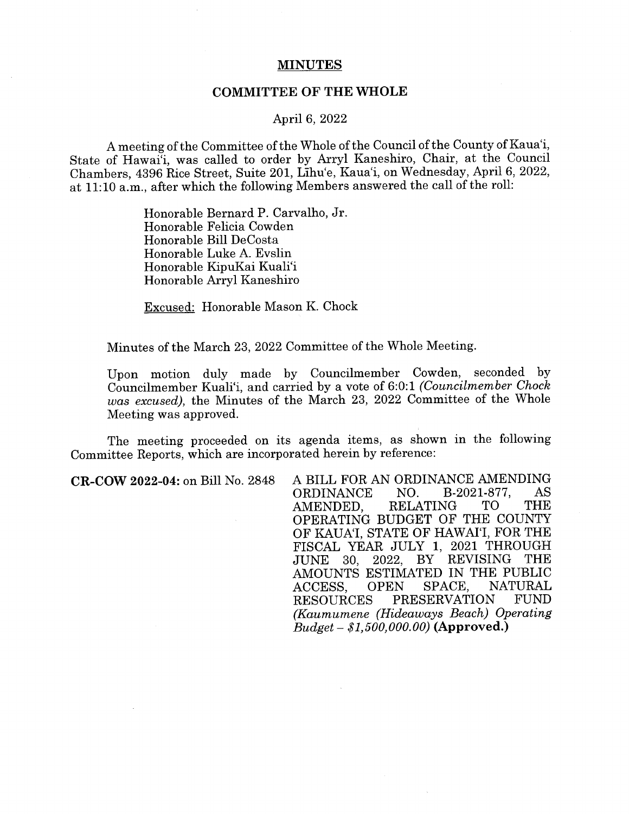## **MINUTES**

## **COMMITTEE OF THE WHOLE**

## April 6, 2022

A meeting of the Committee of the Whole of the Council of the County of Kaua'i, State of Hawai'i, was called to order by Arryl Kaneshiro, Chair, at the Council Chambers, 4396 Rice Street, Suite 201, Lihu'e, Kaua'i, on Wednesday, April 6, 2022, at 11:10 a.m., after which the following Members answered the call of the roll:

> Honorable Bernard P. Carvalho, Jr. Honorable Felicia Cowden Honorable Bill DeCosta Honorable Luke A. Evslin Honorable KipuKai Kuali'i Honorable Arryl Kaneshiro

Excused: Honorable Mason K. Chock

Minutes of the March 23, 2022 Committee of the Whole Meeting.

Upon motion duly made by Councilmember Cowden, seconded by Councilmember Kuali'i, and carried by a vote of 6:0: 1 *(Councilmember Chock was excused),* the Minutes of the March 23, 2022 Committee of the Whole Meeting was approved.

The meeting proceeded on its agenda items, as shown in the following Committee Reports, which are incorporated herein by reference:

**CR-COW 2022-04:** on Bill No. 2848 A BILL FOR AN ORDINANCE AMENDING ORDINANCE NO. B-2021-877, AS AMENDED, RELATING TO THE OPERATING BUDGET OF THE COUNTY OF KAUA'I, STATE OF HAWAI'I, FOR THE FISCAL YEAR JULY 1, 2021 THROUGH JUNE 30, 2022, BY REVISING THE AMOUNTS ESTIMATED IN THE PUBLIC ACCESS, OPEN SPACE, NATURAL RESOURCES PRESERVATION FUND *(Kaumumene (Hideaways Beach) Operating Budget* - *\$1,500,000.00)* **(Approved.)**